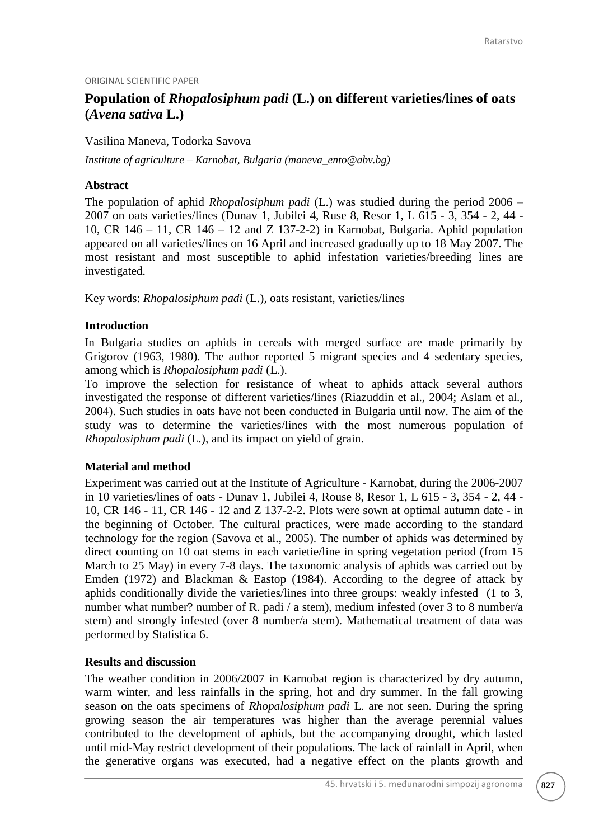### ORIGINAL SCIENTIFIC PAPER

# **Population of** *Rhopalosiphum padi* **(L.) on different varieties/lines of oats (***Avena sativa* **L.)**

Vasilina Maneva, Todorka Savova

*Institute of agriculture – Karnobat, Bulgaria (maneva\_ento@abv.bg)*

### **Abstract**

The population of aphid *Rhopalosiphum padi* (L.) was studied during the period 2006 – 2007 on oats varieties/lines (Dunav 1, Jubilei 4, Ruse 8, Resor 1, L 615 - 3, 354 - 2, 44 - 10, CR 146 – 11, CR 146 – 12 and Z 137-2-2) in Karnobat, Bulgaria. Aphid population appeared on all varieties/lines on 16 April and increased gradually up to 18 May 2007. The most resistant and most susceptible to aphid infestation varieties/breeding lines are investigated.

Key words: *Rhopalosiphum padi* (L.)*,* oats resistant, varieties/lines

### **Introduction**

In Bulgaria studies on aphids in cereals with merged surface are made primarily by Grigorov (1963, 1980). The author reported 5 migrant species and 4 sedentary species, among which is *Rhopalosiphum padi* (L.).

To improve the selection for resistance of wheat to aphids attack several authors investigated the response of different varieties/lines (Riazuddin et al., 2004; Aslam et al., 2004). Such studies in oats have not been conducted in Bulgaria until now. The aim of the study was to determine the varieties/lines with the most numerous population of *Rhopalosiphum padi* (L.), and its impact on yield of grain.

# **Material and method**

Experiment was carried out at the Institute of Agriculture - Karnobat, during the 2006-2007 in 10 varieties/lines of oats - Dunav 1, Jubilei 4, Rouse 8, Resor 1, L 615 - 3, 354 - 2, 44 - 10, CR 146 - 11, CR 146 - 12 and Z 137-2-2. Plots were sown at optimal autumn date - in the beginning of October. The cultural practices, were made according to the standard technology for the region (Savova et al., 2005). The number of aphids was determined by direct counting on 10 oat stems in each varietie/line in spring vegetation period (from 15 March to 25 May) in every 7-8 days. The taxonomic analysis of aphids was carried out by Emden (1972) and Blackman & Eastop (1984). According to the degree of attack by aphids conditionally divide the varieties/lines into three groups: weakly infested (1 to 3, number what number? number of R. padi / a stem), medium infested (over 3 to 8 number/a stem) and strongly infested (over 8 number/a stem). Mathematical treatment of data was performed by Statistica 6.

# **Results and discussion**

The weather condition in 2006/2007 in Karnobat region is characterized by dry autumn, warm winter, and less rainfalls in the spring, hot and dry summer. In the fall growing season on the oats specimens of *Rhopalosiphum padi* L*.* are not seen. During the spring growing season the air temperatures was higher than the average perennial values contributed to the development of aphids, but the accompanying drought, which lasted until mid-May restrict development of their populations. The lack of rainfall in April, when the generative organs was executed, had a negative effect on the plants growth and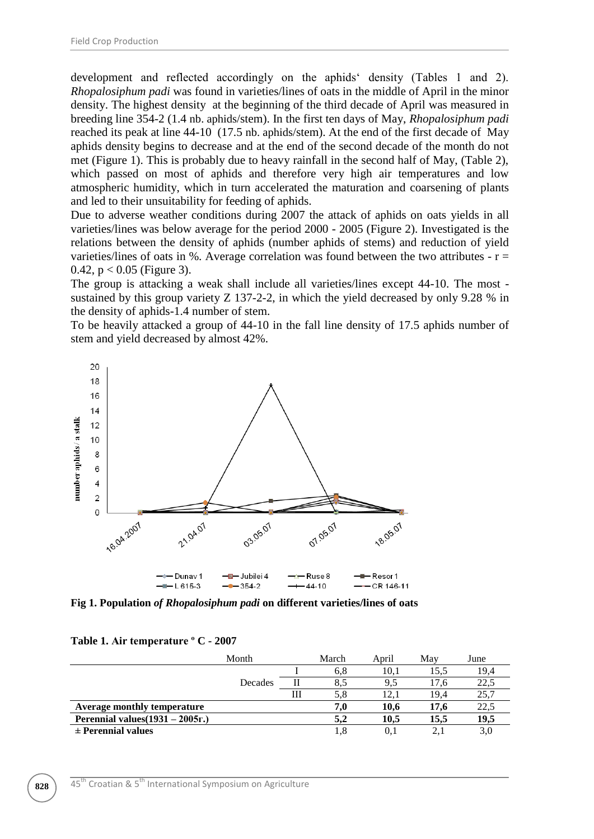development and reflected accordingly on the aphids density (Tables 1 and 2). *Rhopalosiphum padi* was found in varieties/lines of oats in the middle of April in the minor density. The highest density at the beginning of the third decade of April was measured in breeding line 354-2 (1.4 nb. aphids/stem). In the first ten days of May, *Rhopalosiphum padi* reached its peak at line 44-10 (17.5 nb. aphids/stem). At the end of the first decade of May aphids density begins to decrease and at the end of the second decade of the month do not met (Figure 1). This is probably due to heavy rainfall in the second half of May, (Table 2), which passed on most of aphids and therefore very high air temperatures and low atmospheric humidity, which in turn accelerated the maturation and coarsening of plants and led to their unsuitability for feeding of aphids.

Due to adverse weather conditions during 2007 the attack of aphids on oats yields in all varieties/lines was below average for the period 2000 - 2005 (Figure 2). Investigated is the relations between the density of aphids (number aphids of stems) and reduction of yield varieties/lines of oats in %. Average correlation was found between the two attributes  $- r =$ 0.42,  $p < 0.05$  (Figure 3).

The group is attacking a weak shall include all varieties/lines except 44-10. The most sustained by this group variety Z 137-2-2, in which the yield decreased by only 9.28 % in the density of aphids-1.4 number of stem.

To be heavily attacked a group of 44-10 in the fall line density of 17.5 aphids number of stem and yield decreased by almost 42%.



**Fig 1. Population** *of Rhopalosiphum padi* **on different varieties/lines of oats**

|                                    | Month   |   | March | April | May  | June |
|------------------------------------|---------|---|-------|-------|------|------|
|                                    |         |   | 6.8   | 10.1  | 15.5 | 19.4 |
|                                    | Decades |   | 8.5   | 9.5   | 17.6 | 22.5 |
|                                    |         | Ш | 5.8   |       | 19.4 | 25,7 |
| <b>Average monthly temperature</b> |         |   | 7,0   | 10.6  | 17.6 | 22,5 |
| Perennial values $(1931 - 2005r.)$ |         |   | 5.2   | 10.5  | 15.5 | 19,5 |

#### **Table 1. Air temperature º C - 2007**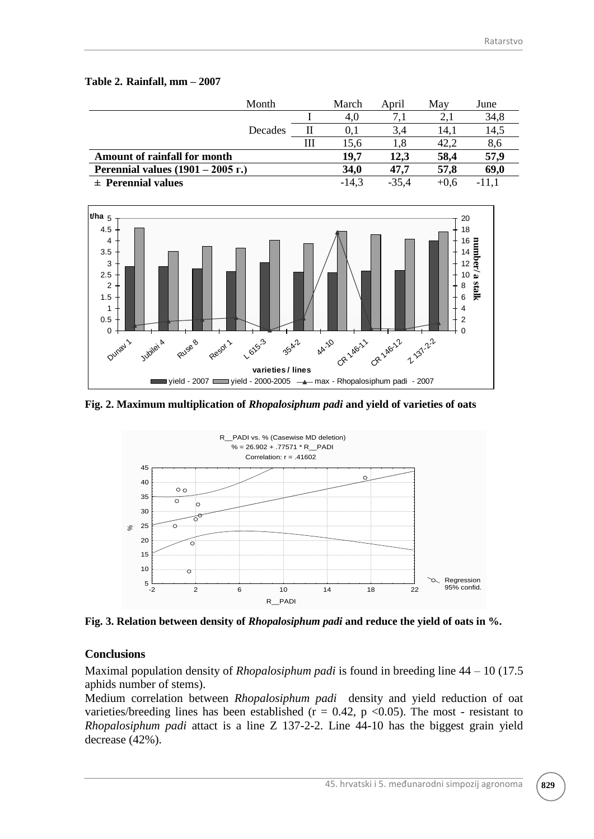### **Table 2. Rainfall, mm – 2007**

| Month                               |   | March       | April   | May    | June  |
|-------------------------------------|---|-------------|---------|--------|-------|
|                                     |   | 4.0         |         |        | 34,8  |
| Decades                             |   | O. 1        | 3,4     | 14.1   | 14,5  |
|                                     | Ш | 15.6        | 1.8     | 42,2   | 8,6   |
| Amount of rainfall for month        |   | 19.7        | 12,3    | 58,4   | 57,9  |
| Perennial values $(1901 - 2005$ r.) |   | <b>34,0</b> | 47.7    | 57,8   | 69,0  |
| $\pm$ Perennial values              |   | $-14.3$     | $-35.4$ | $+0.6$ | -11.1 |



**Fig. 2. Maximum multiplication of** *Rhopalosiphum padi* **and yield of varieties of oats**



**Fig. 3. Relation between density of** *Rhopalosiphum padi* **and reduce the yield of oats in %.**

# **Conclusions**

Maximal population density of *Rhopalosiphum padi* is found in breeding line 44 – 10 (17.5 aphids number of stems).

Medium correlation between *Rhopalosiphum padi* density and yield reduction of oat varieties/breeding lines has been established ( $r = 0.42$ ,  $p \le 0.05$ ). The most - resistant to *Rhopalosiphum padi* attact is a line Z 137-2-2. Line 44-10 has the biggest grain yield decrease (42%).